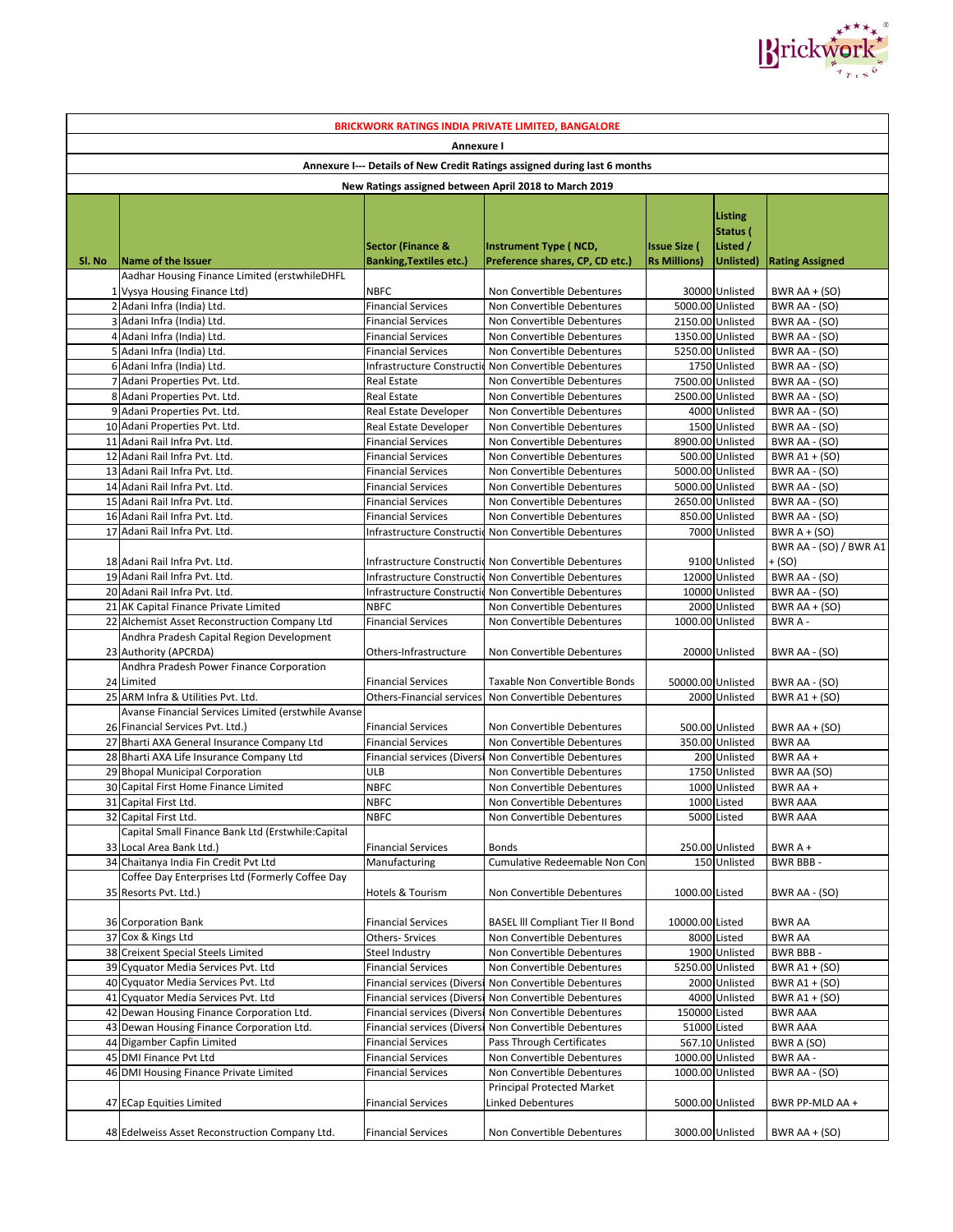

|                                                                           |                                                                                          |                                                          | <b>BRICKWORK RATINGS INDIA PRIVATE LIMITED, BANGALORE</b>   |                     |                                      |                                          |
|---------------------------------------------------------------------------|------------------------------------------------------------------------------------------|----------------------------------------------------------|-------------------------------------------------------------|---------------------|--------------------------------------|------------------------------------------|
|                                                                           |                                                                                          | Annexure I                                               |                                                             |                     |                                      |                                          |
| Annexure I--- Details of New Credit Ratings assigned during last 6 months |                                                                                          |                                                          |                                                             |                     |                                      |                                          |
|                                                                           |                                                                                          |                                                          | New Ratings assigned between April 2018 to March 2019       |                     |                                      |                                          |
|                                                                           |                                                                                          | <b>Sector (Finance &amp;</b>                             | <b>Instrument Type (NCD,</b>                                | <b>Issue Size (</b> | Listing<br>Status (<br>Listed /      |                                          |
| SI. No                                                                    | Name of the Issuer                                                                       | <b>Banking, Textiles etc.)</b>                           | Preference shares, CP, CD etc.)                             | <b>Rs Millions)</b> | Unlisted)                            | <b>Rating Assigned</b>                   |
|                                                                           | Aadhar Housing Finance Limited (erstwhileDHFL                                            |                                                          |                                                             |                     |                                      |                                          |
|                                                                           | 1 Vysya Housing Finance Ltd)                                                             | <b>NBFC</b>                                              | Non Convertible Debentures                                  |                     | 30000 Unlisted                       | BWR AA + (SO)                            |
|                                                                           | 2 Adani Infra (India) Ltd.                                                               | <b>Financial Services</b>                                | Non Convertible Debentures                                  |                     | 5000.00 Unlisted                     | BWR AA - (SO)                            |
|                                                                           | 3 Adani Infra (India) Ltd.<br>4 Adani Infra (India) Ltd.                                 | <b>Financial Services</b><br><b>Financial Services</b>   | Non Convertible Debentures<br>Non Convertible Debentures    |                     | 2150.00 Unlisted<br>1350.00 Unlisted | BWR AA - (SO)                            |
|                                                                           | 5 Adani Infra (India) Ltd.                                                               | <b>Financial Services</b>                                | Non Convertible Debentures                                  |                     | 5250.00 Unlisted                     | BWR AA - (SO)<br>BWR AA - (SO)           |
|                                                                           | 6 Adani Infra (India) Ltd.                                                               |                                                          | Infrastructure Constructic Non Convertible Debentures       |                     | 1750 Unlisted                        | <b>BWR AA - (SO)</b>                     |
|                                                                           | 7 Adani Properties Pvt. Ltd.                                                             | <b>Real Estate</b>                                       | Non Convertible Debentures                                  |                     | 7500.00 Unlisted                     | BWR AA - (SO)                            |
|                                                                           | 8 Adani Properties Pvt. Ltd.                                                             | Real Estate                                              | Non Convertible Debentures                                  |                     | 2500.00 Unlisted                     | <b>BWR AA - (SO)</b>                     |
|                                                                           | 9 Adani Properties Pvt. Ltd.                                                             | <b>Real Estate Developer</b>                             | Non Convertible Debentures                                  |                     | 4000 Unlisted                        | <b>BWR AA - (SO)</b>                     |
|                                                                           | 10 Adani Properties Pvt. Ltd.                                                            | <b>Real Estate Developer</b>                             | Non Convertible Debentures                                  |                     | 1500 Unlisted                        | BWR AA - (SO)                            |
|                                                                           | 11 Adani Rail Infra Pvt. Ltd.                                                            | <b>Financial Services</b>                                | Non Convertible Debentures                                  |                     | 8900.00 Unlisted                     | <b>BWR AA - (SO)</b>                     |
|                                                                           | 12 Adani Rail Infra Pvt. Ltd.                                                            | <b>Financial Services</b>                                | Non Convertible Debentures                                  |                     | 500.00 Unlisted                      | <b>BWR A1 + (SO)</b>                     |
|                                                                           | 13 Adani Rail Infra Pvt. Ltd.                                                            | <b>Financial Services</b>                                | Non Convertible Debentures                                  |                     | 5000.00 Unlisted                     | BWR AA - (SO)                            |
|                                                                           | 14 Adani Rail Infra Pvt. Ltd.                                                            | <b>Financial Services</b>                                | Non Convertible Debentures                                  |                     | 5000.00 Unlisted                     | BWR AA - (SO)                            |
|                                                                           | 15 Adani Rail Infra Pvt. Ltd.                                                            | <b>Financial Services</b>                                | Non Convertible Debentures                                  |                     | 2650.00 Unlisted                     | BWR AA - (SO)                            |
|                                                                           | 16 Adani Rail Infra Pvt. Ltd.<br>17 Adani Rail Infra Pvt. Ltd.                           | <b>Financial Services</b>                                | Non Convertible Debentures                                  |                     | 850.00 Unlisted                      | <b>BWR AA - (SO)</b>                     |
|                                                                           |                                                                                          |                                                          | Infrastructure Constructic Non Convertible Debentures       |                     | 7000 Unlisted                        | BWR $A + (SO)$<br>BWR AA - (SO) / BWR A1 |
|                                                                           | 18 Adani Rail Infra Pvt. Ltd.                                                            |                                                          | Infrastructure Constructic Non Convertible Debentures       |                     | 9100 Unlisted                        | + (SO)                                   |
|                                                                           | 19 Adani Rail Infra Pvt. Ltd.                                                            |                                                          | Infrastructure Constructic Non Convertible Debentures       |                     | 12000 Unlisted                       | BWR AA - (SO)                            |
|                                                                           | 20 Adani Rail Infra Pvt. Ltd.                                                            |                                                          | Infrastructure Constructic Non Convertible Debentures       |                     | 10000 Unlisted                       | BWR AA - (SO)                            |
|                                                                           | 21 AK Capital Finance Private Limited                                                    | <b>NBFC</b>                                              | Non Convertible Debentures                                  |                     | 2000 Unlisted                        | BWR AA + $(SO)$                          |
|                                                                           | 22 Alchemist Asset Reconstruction Company Ltd                                            | <b>Financial Services</b>                                | Non Convertible Debentures                                  |                     | 1000.00 Unlisted                     | BWR A -                                  |
|                                                                           | Andhra Pradesh Capital Region Development<br>23 Authority (APCRDA)                       | Others-Infrastructure                                    | Non Convertible Debentures                                  |                     | 20000 Unlisted                       | BWR AA - (SO)                            |
|                                                                           | Andhra Pradesh Power Finance Corporation                                                 |                                                          |                                                             |                     |                                      |                                          |
|                                                                           | 24 Limited<br>25 ARM Infra & Utilities Pvt. Ltd.                                         | <b>Financial Services</b><br>Others-Financial services   | Taxable Non Convertible Bonds<br>Non Convertible Debentures | 50000.00 Unlisted   | 2000 Unlisted                        | BWR AA - (SO)<br><b>BWR A1 + (SO)</b>    |
|                                                                           | Avanse Financial Services Limited (erstwhile Avanse                                      |                                                          |                                                             |                     |                                      |                                          |
|                                                                           | 26 Financial Services Pvt. Ltd.)                                                         | <b>Financial Services</b>                                | Non Convertible Debentures                                  |                     | 500.00 Unlisted                      | BWR AA $+$ (SO)                          |
|                                                                           | 27 Bharti AXA General Insurance Company Ltd                                              | <b>Financial Services</b>                                | Non Convertible Debentures                                  |                     | 350.00 Unlisted                      | <b>BWR AA</b>                            |
|                                                                           | 28 Bharti AXA Life Insurance Company Ltd                                                 | <b>Financial services (Diversi</b>                       | Non Convertible Debentures                                  |                     | 200 Unlisted                         | BWR AA +                                 |
|                                                                           | 29 Bhopal Municipal Corporation                                                          | ULB                                                      | Non Convertible Debentures                                  |                     | 1750 Unlisted                        | BWR AA (SO)                              |
|                                                                           | 30 Capital First Home Finance Limited                                                    | <b>NBFC</b>                                              | Non Convertible Debentures                                  |                     | 1000 Unlisted                        | BWR AA +                                 |
|                                                                           | 31 Capital First Ltd.                                                                    | <b>NBFC</b>                                              | Non Convertible Debentures                                  |                     | 1000 Listed                          | <b>BWR AAA</b>                           |
|                                                                           | 32 Capital First Ltd.                                                                    | <b>NBFC</b>                                              | Non Convertible Debentures                                  |                     | 5000 Listed                          | BWR AAA                                  |
|                                                                           | Capital Small Finance Bank Ltd (Erstwhile:Capital                                        |                                                          |                                                             |                     |                                      |                                          |
|                                                                           | 33 Local Area Bank Ltd.)                                                                 | <b>Financial Services</b>                                | <b>Bonds</b>                                                |                     | 250.00 Unlisted                      | BWR A +                                  |
|                                                                           | 34 Chaitanya India Fin Credit Pvt Ltd<br>Coffee Day Enterprises Ltd (Formerly Coffee Day | Manufacturing                                            | Cumulative Redeemable Non Con                               |                     | 150 Unlisted                         | BWR BBB-                                 |
|                                                                           | 35 Resorts Pvt. Ltd.)                                                                    | Hotels & Tourism                                         | Non Convertible Debentures                                  | 1000.00 Listed      |                                      | BWR AA - (SO)                            |
|                                                                           | 36 Corporation Bank                                                                      | <b>Financial Services</b>                                | <b>BASEL III Compliant Tier II Bond</b>                     | 10000.00 Listed     |                                      | BWR AA                                   |
|                                                                           | 37 Cox & Kings Ltd                                                                       | Others- Srvices                                          | Non Convertible Debentures                                  |                     | 8000 Listed                          | <b>BWR AA</b>                            |
|                                                                           | 38 Creixent Special Steels Limited<br>39 Cyquator Media Services Pvt. Ltd                | Steel Industry                                           | Non Convertible Debentures                                  |                     | 1900 Unlisted                        | BWR BBB-                                 |
|                                                                           | 40 Cyquator Media Services Pvt. Ltd                                                      | <b>Financial Services</b><br>Financial services (Diversi | Non Convertible Debentures<br>Non Convertible Debentures    |                     | 5250.00 Unlisted<br>2000 Unlisted    | BWR A1 + (SO)<br>BWR A1 + (SO)           |
|                                                                           | 41 Cyquator Media Services Pvt. Ltd                                                      | Financial services (Diversi                              | Non Convertible Debentures                                  |                     | 4000 Unlisted                        | <b>BWR A1 + (SO)</b>                     |
|                                                                           | 42 Dewan Housing Finance Corporation Ltd.                                                | Financial services (Diversi                              | Non Convertible Debentures                                  | 150000 Listed       |                                      | <b>BWR AAA</b>                           |
|                                                                           | 43 Dewan Housing Finance Corporation Ltd.                                                | Financial services (Divers                               | Non Convertible Debentures                                  |                     | 51000 Listed                         | <b>BWR AAA</b>                           |
|                                                                           | 44 Digamber Capfin Limited                                                               | <b>Financial Services</b>                                | Pass Through Certificates                                   |                     | 567.10 Unlisted                      | BWR A (SO)                               |
|                                                                           | 45 DMI Finance Pvt Ltd                                                                   | <b>Financial Services</b>                                | Non Convertible Debentures                                  |                     | 1000.00 Unlisted                     | BWR AA -                                 |
|                                                                           | 46 DMI Housing Finance Private Limited                                                   | <b>Financial Services</b>                                | Non Convertible Debentures                                  |                     | 1000.00 Unlisted                     | BWR AA - (SO)                            |
|                                                                           | 47 ECap Equities Limited                                                                 | Financial Services                                       | Principal Protected Market<br>Linked Debentures             |                     | 5000.00 Unlisted                     | BWR PP-MLD AA +                          |
|                                                                           | 48 Edelweiss Asset Reconstruction Company Ltd.                                           | <b>Financial Services</b>                                | Non Convertible Debentures                                  |                     | 3000.00 Unlisted                     | BWR AA $+$ (SO)                          |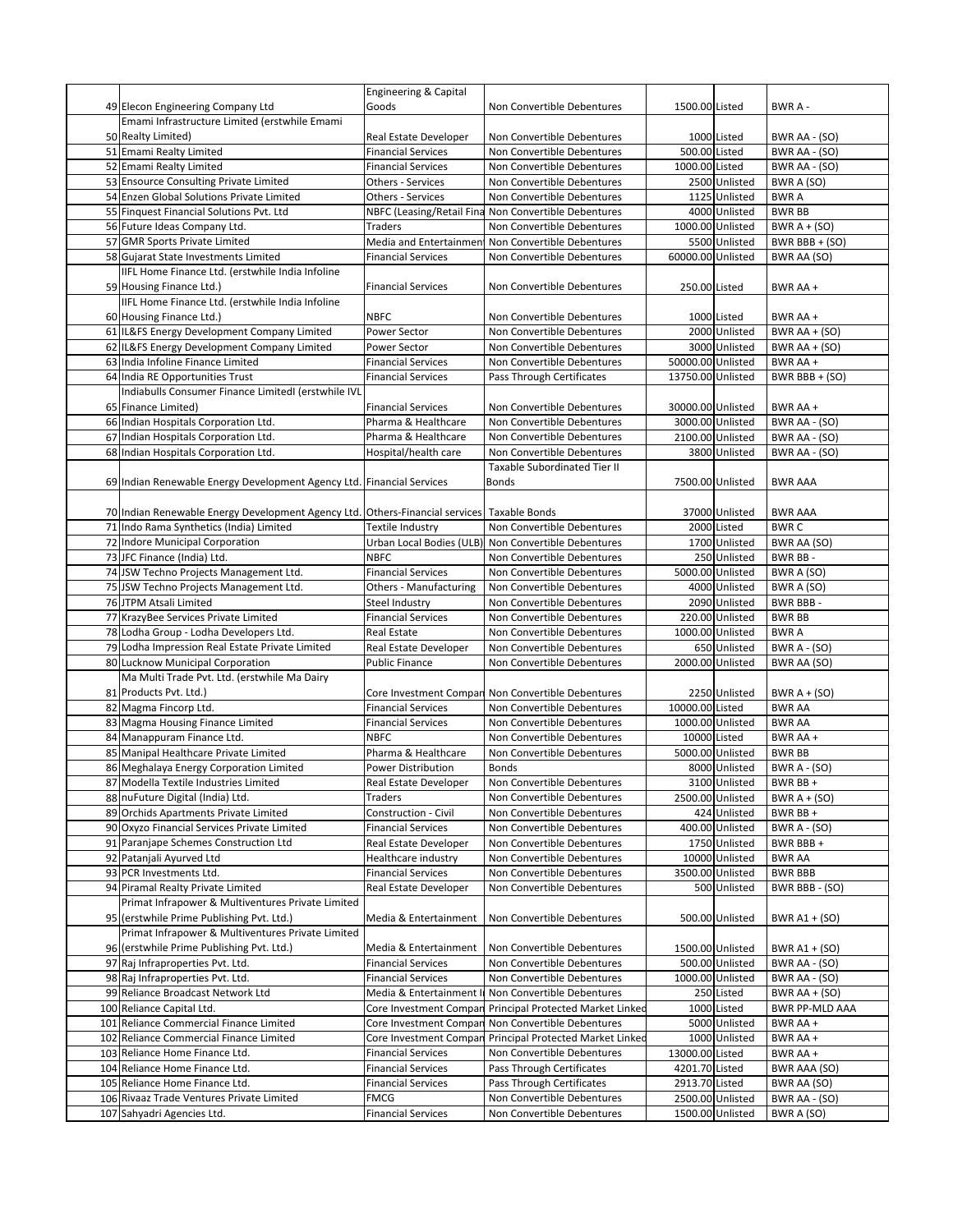|                                                                              | <b>Engineering &amp; Capital</b> |                                                   |                   |                  |                       |
|------------------------------------------------------------------------------|----------------------------------|---------------------------------------------------|-------------------|------------------|-----------------------|
| 49 Elecon Engineering Company Ltd                                            | Goods                            | Non Convertible Debentures                        | 1500.00 Listed    |                  | BWR A -               |
| Emami Infrastructure Limited (erstwhile Emami                                |                                  |                                                   |                   |                  |                       |
| 50 Realty Limited)                                                           | Real Estate Developer            | Non Convertible Debentures                        |                   | 1000 Listed      | BWR AA - (SO)         |
| 51 Emami Realty Limited                                                      | <b>Financial Services</b>        | Non Convertible Debentures                        | 500.00 Listed     |                  | BWR AA - (SO)         |
| 52 Emami Realty Limited                                                      | <b>Financial Services</b>        | Non Convertible Debentures                        | 1000.00 Listed    |                  | BWR AA - (SO)         |
| 53 Ensource Consulting Private Limited                                       | <b>Others - Services</b>         | Non Convertible Debentures                        |                   | 2500 Unlisted    | BWR A (SO)            |
| 54 Enzen Global Solutions Private Limited                                    | Others - Services                | Non Convertible Debentures                        |                   | 1125 Unlisted    | <b>BWRA</b>           |
| 55 Finquest Financial Solutions Pvt. Ltd                                     | NBFC (Leasing/Retail Fina        | Non Convertible Debentures                        |                   | 4000 Unlisted    | <b>BWR BB</b>         |
| 56 Future Ideas Company Ltd.                                                 | <b>Traders</b>                   | Non Convertible Debentures                        |                   | 1000.00 Unlisted | BWR $A + (SO)$        |
| 57 GMR Sports Private Limited                                                | Media and Entertainmen           | Non Convertible Debentures                        |                   | 5500 Unlisted    | BWR BBB + (SO)        |
| 58 Gujarat State Investments Limited                                         | <b>Financial Services</b>        | Non Convertible Debentures                        | 60000.00 Unlisted |                  | BWR AA (SO)           |
| IIFL Home Finance Ltd. (erstwhile India Infoline                             |                                  |                                                   |                   |                  |                       |
| 59 Housing Finance Ltd.)                                                     | <b>Financial Services</b>        | Non Convertible Debentures                        | 250.00 Listed     |                  | BWR AA +              |
| IIFL Home Finance Ltd. (erstwhile India Infoline                             |                                  |                                                   |                   |                  |                       |
| 60 Housing Finance Ltd.)                                                     | <b>NBFC</b>                      | Non Convertible Debentures                        |                   | 1000 Listed      | BWR AA +              |
| 61 IL&FS Energy Development Company Limited                                  | Power Sector                     | Non Convertible Debentures                        |                   | 2000 Unlisted    | BWR AA + $(SO)$       |
| 62 IL&FS Energy Development Company Limited                                  | Power Sector                     | Non Convertible Debentures                        |                   | 3000 Unlisted    | BWR AA + $(SO)$       |
| 63 India Infoline Finance Limited                                            | <b>Financial Services</b>        | Non Convertible Debentures                        | 50000.00 Unlisted |                  | BWR AA +              |
| 64 India RE Opportunities Trust                                              | <b>Financial Services</b>        | Pass Through Certificates                         | 13750.00 Unlisted |                  | BWR BBB + (SO)        |
| Indiabulls Consumer Finance LimitedI (erstwhile IVL                          |                                  |                                                   |                   |                  |                       |
| 65 Finance Limited)                                                          | <b>Financial Services</b>        | Non Convertible Debentures                        | 30000.00 Unlisted |                  | BWR AA +              |
| 66 Indian Hospitals Corporation Ltd.                                         | Pharma & Healthcare              | Non Convertible Debentures                        |                   | 3000.00 Unlisted | BWR AA - (SO)         |
| 67 Indian Hospitals Corporation Ltd.                                         | Pharma & Healthcare              | Non Convertible Debentures                        |                   | 2100.00 Unlisted | BWR AA - (SO)         |
| 68 Indian Hospitals Corporation Ltd.                                         | Hospital/health care             | Non Convertible Debentures                        |                   | 3800 Unlisted    | BWR AA - (SO)         |
|                                                                              |                                  | <b>Taxable Subordinated Tier II</b>               |                   |                  |                       |
| 69 Indian Renewable Energy Development Agency Ltd. Financial Services        |                                  | <b>Bonds</b>                                      |                   | 7500.00 Unlisted | <b>BWR AAA</b>        |
|                                                                              |                                  |                                                   |                   |                  |                       |
| 70 Indian Renewable Energy Development Agency Ltd. Others-Financial services |                                  | Taxable Bonds                                     |                   | 37000 Unlisted   | <b>BWR AAA</b>        |
| 71 Indo Rama Synthetics (India) Limited                                      | Textile Industry                 | Non Convertible Debentures                        |                   | 2000 Listed      | <b>BWRC</b>           |
| 72 Indore Municipal Corporation                                              | Urban Local Bodies (ULB)         | Non Convertible Debentures                        |                   | 1700 Unlisted    | BWR AA (SO)           |
| 73 JFC Finance (India) Ltd.                                                  | <b>NBFC</b>                      | Non Convertible Debentures                        |                   | 250 Unlisted     | BWR BB-               |
| 74 JSW Techno Projects Management Ltd.                                       | <b>Financial Services</b>        | Non Convertible Debentures                        |                   | 5000.00 Unlisted | BWR A (SO)            |
| 75 JSW Techno Projects Management Ltd.                                       | <b>Others - Manufacturing</b>    | Non Convertible Debentures                        |                   | 4000 Unlisted    | BWR A (SO)            |
| 76 JTPM Atsali Limited                                                       | Steel Industry                   | Non Convertible Debentures                        |                   | 2090 Unlisted    | BWR BBB-              |
| 77 KrazyBee Services Private Limited                                         | <b>Financial Services</b>        | Non Convertible Debentures                        |                   | 220.00 Unlisted  | <b>BWR BB</b>         |
| 78 Lodha Group - Lodha Developers Ltd.                                       | Real Estate                      | Non Convertible Debentures                        |                   | 1000.00 Unlisted | <b>BWRA</b>           |
| 79 Lodha Impression Real Estate Private Limited                              | Real Estate Developer            | Non Convertible Debentures                        |                   | 650 Unlisted     | BWR $A - (SO)$        |
| 80 Lucknow Municipal Corporation                                             | <b>Public Finance</b>            | Non Convertible Debentures                        |                   | 2000.00 Unlisted | BWR AA (SO)           |
| Ma Multi Trade Pvt. Ltd. (erstwhile Ma Dairy                                 |                                  |                                                   |                   |                  |                       |
| 81 Products Pvt. Ltd.)                                                       |                                  | Core Investment Compan Non Convertible Debentures |                   | 2250 Unlisted    | BWR $A + (SO)$        |
| 82 Magma Fincorp Ltd.                                                        | <b>Financial Services</b>        | Non Convertible Debentures                        | 10000.00 Listed   |                  | <b>BWR AA</b>         |
| 83 Magma Housing Finance Limited                                             | <b>Financial Services</b>        | Non Convertible Debentures                        |                   | 1000.00 Unlisted | <b>BWR AA</b>         |
| 84 Manappuram Finance Ltd.                                                   | <b>NBFC</b>                      | Non Convertible Debentures                        | 10000 Listed      |                  | BWR AA +              |
| 85 Manipal Healthcare Private Limited                                        | Pharma & Healthcare              | Non Convertible Debentures                        |                   | 5000.00 Unlisted | <b>BWR BB</b>         |
| 86 Meghalaya Energy Corporation Limited                                      | Power Distribution               | <b>Bonds</b>                                      |                   | 8000 Unlisted    | <b>BWR A - (SO)</b>   |
| 87 Modella Textile Industries Limited                                        | Real Estate Developer            | Non Convertible Debentures                        |                   | 3100 Unlisted    | BWR BB +              |
| 88 nuFuture Digital (India) Ltd.                                             | Traders                          | Non Convertible Debentures                        |                   | 2500.00 Unlisted | BWR $A + (SO)$        |
| 89 Orchids Apartments Private Limited                                        | Construction - Civil             | Non Convertible Debentures                        |                   | 424 Unlisted     | BWR BB+               |
| 90 Oxyzo Financial Services Private Limited                                  | <b>Financial Services</b>        | Non Convertible Debentures                        |                   | 400.00 Unlisted  | <b>BWR A - (SO)</b>   |
| 91 Paranjape Schemes Construction Ltd                                        | Real Estate Developer            | Non Convertible Debentures                        |                   | 1750 Unlisted    | BWR BBB +             |
| 92 Patanjali Ayurved Ltd                                                     | Healthcare industry              | Non Convertible Debentures                        |                   | 10000 Unlisted   | <b>BWR AA</b>         |
| 93 PCR Investments Ltd.                                                      | <b>Financial Services</b>        | Non Convertible Debentures                        |                   | 3500.00 Unlisted | <b>BWR BBB</b>        |
| 94 Piramal Realty Private Limited                                            | Real Estate Developer            | Non Convertible Debentures                        |                   | 500 Unlisted     | BWR BBB - (SO)        |
| Primat Infrapower & Multiventures Private Limited                            |                                  |                                                   |                   |                  |                       |
| 95 (erstwhile Prime Publishing Pvt. Ltd.)                                    | Media & Entertainment            | Non Convertible Debentures                        |                   | 500.00 Unlisted  | BWR A1 + (SO)         |
| Primat Infrapower & Multiventures Private Limited                            |                                  |                                                   |                   |                  |                       |
| 96 (erstwhile Prime Publishing Pvt. Ltd.)                                    | Media & Entertainment            | Non Convertible Debentures                        |                   | 1500.00 Unlisted | BWR A1 + (SO)         |
| 97 Raj Infraproperties Pvt. Ltd.                                             | <b>Financial Services</b>        | Non Convertible Debentures                        |                   | 500.00 Unlisted  | BWR AA - (SO)         |
| 98 Raj Infraproperties Pvt. Ltd.                                             | <b>Financial Services</b>        | Non Convertible Debentures                        |                   | 1000.00 Unlisted | BWR AA - (SO)         |
| 99 Reliance Broadcast Network Ltd                                            | Media & Entertainment            | Non Convertible Debentures                        |                   | 250 Listed       | BWR AA + $(SO)$       |
| 100 Reliance Capital Ltd.                                                    | Core Investment Compan           | Principal Protected Market Linked                 |                   | 1000 Listed      | <b>BWR PP-MLD AAA</b> |
| 101 Reliance Commercial Finance Limited                                      | Core Investment Compan           | Non Convertible Debentures                        |                   | 5000 Unlisted    | BWR AA +              |
| 102 Reliance Commercial Finance Limited                                      | Core Investment Compar           | Principal Protected Market Linked                 |                   | 1000 Unlisted    | BWR AA +              |
| 103 Reliance Home Finance Ltd.                                               | <b>Financial Services</b>        | Non Convertible Debentures                        | 13000.00 Listed   |                  | BWR AA +              |
| 104 Reliance Home Finance Ltd.                                               | <b>Financial Services</b>        | Pass Through Certificates                         | 4201.70 Listed    |                  | BWR AAA (SO)          |
| 105 Reliance Home Finance Ltd.                                               | <b>Financial Services</b>        | Pass Through Certificates                         | 2913.70 Listed    |                  | BWR AA (SO)           |
| 106 Rivaaz Trade Ventures Private Limited                                    | <b>FMCG</b>                      | Non Convertible Debentures                        |                   | 2500.00 Unlisted | BWR AA - (SO)         |
| 107 Sahyadri Agencies Ltd.                                                   | <b>Financial Services</b>        | Non Convertible Debentures                        |                   | 1500.00 Unlisted | BWR A (SO)            |